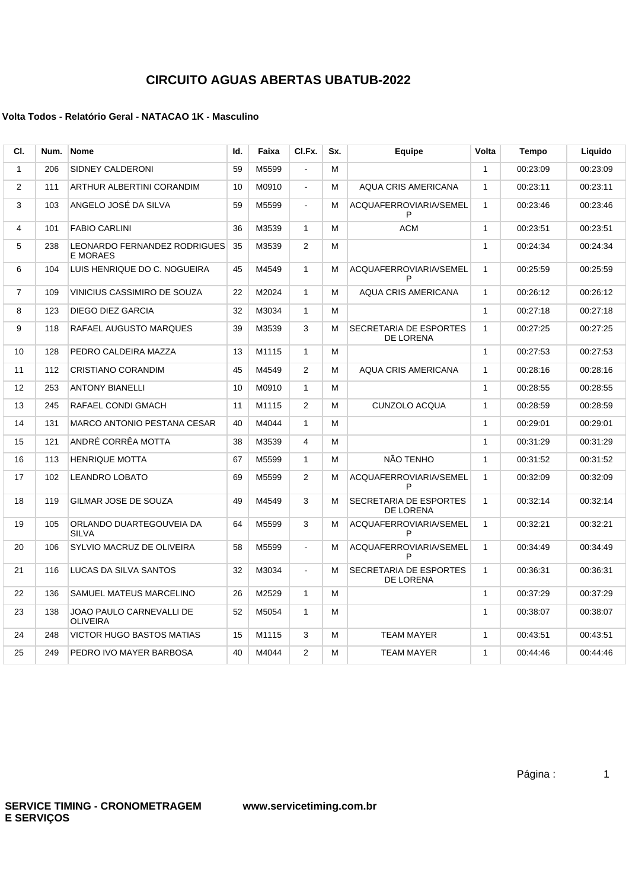## **CIRCUITO AGUAS ABERTAS UBATUB-2022**

## **Volta Todos - Relatório Geral - NATACAO 1K - Masculino**

| CI.            | Num. | <b>Nome</b>                                     | Id. | Faixa | CI.Fx.                   | Sx. | Equipe                              | Volta        | Tempo    | Liquido  |
|----------------|------|-------------------------------------------------|-----|-------|--------------------------|-----|-------------------------------------|--------------|----------|----------|
| $\mathbf{1}$   | 206  | SIDNEY CALDERONI                                | 59  | M5599 | $\overline{\phantom{a}}$ | М   |                                     | $\mathbf{1}$ | 00:23:09 | 00:23:09 |
| $\overline{2}$ | 111  | ARTHUR ALBERTINI CORANDIM                       | 10  | M0910 | $\blacksquare$           | М   | <b>AQUA CRIS AMERICANA</b>          | $\mathbf{1}$ | 00:23:11 | 00:23:11 |
| 3              | 103  | ANGELO JOSÉ DA SILVA                            | 59  | M5599 | $\blacksquare$           | м   | ACQUAFERROVIARIA/SEMEL<br>P         | $\mathbf{1}$ | 00:23:46 | 00:23:46 |
| 4              | 101  | <b>FABIO CARLINI</b>                            | 36  | M3539 | $\mathbf{1}$             | M   | <b>ACM</b>                          | $\mathbf{1}$ | 00:23:51 | 00:23:51 |
| 5              | 238  | LEONARDO FERNANDEZ RODRIGUES<br><b>E MORAES</b> | 35  | M3539 | $\overline{2}$           | м   |                                     | $\mathbf{1}$ | 00:24:34 | 00:24:34 |
| 6              | 104  | LUIS HENRIQUE DO C. NOGUEIRA                    | 45  | M4549 | $\mathbf{1}$             | м   | ACQUAFERROVIARIA/SEMEL<br>P         | $\mathbf{1}$ | 00:25:59 | 00:25:59 |
| $\overline{7}$ | 109  | VINICIUS CASSIMIRO DE SOUZA                     | 22  | M2024 | $\mathbf{1}$             | M   | <b>AQUA CRIS AMERICANA</b>          | $\mathbf{1}$ | 00:26:12 | 00:26:12 |
| 8              | 123  | DIEGO DIEZ GARCIA                               | 32  | M3034 | $\mathbf{1}$             | м   |                                     | $\mathbf{1}$ | 00:27:18 | 00:27:18 |
| 9              | 118  | RAFAEL AUGUSTO MARQUES                          | 39  | M3539 | 3                        | м   | SECRETARIA DE ESPORTES<br>DE LORENA | $\mathbf{1}$ | 00:27:25 | 00:27:25 |
| 10             | 128  | PEDRO CALDEIRA MAZZA                            | 13  | M1115 | $\mathbf{1}$             | М   |                                     | $\mathbf{1}$ | 00:27:53 | 00:27:53 |
| 11             | 112  | CRISTIANO CORANDIM                              | 45  | M4549 | $\overline{2}$           | м   | <b>AQUA CRIS AMERICANA</b>          | $\mathbf{1}$ | 00:28:16 | 00:28:16 |
| 12             | 253  | <b>ANTONY BIANELLI</b>                          | 10  | M0910 | $\mathbf{1}$             | м   |                                     | $\mathbf{1}$ | 00:28:55 | 00:28:55 |
| 13             | 245  | RAFAEL CONDI GMACH                              | 11  | M1115 | 2                        | М   | <b>CUNZOLO ACQUA</b>                | $\mathbf{1}$ | 00:28:59 | 00:28:59 |
| 14             | 131  | <b>MARCO ANTONIO PESTANA CESAR</b>              | 40  | M4044 | $\mathbf{1}$             | м   |                                     | $\mathbf{1}$ | 00:29:01 | 00:29:01 |
| 15             | 121  | ANDRÉ CORRÊA MOTTA                              | 38  | M3539 | $\overline{4}$           | М   |                                     | $\mathbf{1}$ | 00:31:29 | 00:31:29 |
| 16             | 113  | <b>HENRIQUE MOTTA</b>                           | 67  | M5599 | 1                        | м   | NÃO TENHO                           | $\mathbf{1}$ | 00:31:52 | 00:31:52 |
| 17             | 102  | <b>LEANDRO LOBATO</b>                           | 69  | M5599 | $\overline{2}$           | М   | ACQUAFERROVIARIA/SEMEL<br>P         | $\mathbf{1}$ | 00:32:09 | 00:32:09 |
| 18             | 119  | GILMAR JOSE DE SOUZA                            | 49  | M4549 | 3                        | М   | SECRETARIA DE ESPORTES<br>DE LORENA | $\mathbf{1}$ | 00:32:14 | 00:32:14 |
| 19             | 105  | ORLANDO DUARTEGOUVEIA DA<br><b>SILVA</b>        | 64  | M5599 | 3                        | М   | ACQUAFERROVIARIA/SEMEL<br>P         | $\mathbf{1}$ | 00:32:21 | 00:32:21 |
| 20             | 106  | SYLVIO MACRUZ DE OLIVEIRA                       | 58  | M5599 | $\mathbf{r}$             | М   | ACQUAFERROVIARIA/SEMEL<br>P         | $\mathbf{1}$ | 00:34:49 | 00:34:49 |
| 21             | 116  | LUCAS DA SILVA SANTOS                           | 32  | M3034 | $\blacksquare$           | М   | SECRETARIA DE ESPORTES<br>DE LORENA | $\mathbf{1}$ | 00:36:31 | 00:36:31 |
| 22             | 136  | SAMUEL MATEUS MARCELINO                         | 26  | M2529 | $\mathbf{1}$             | M   |                                     | $\mathbf{1}$ | 00:37:29 | 00:37:29 |
| 23             | 138  | JOAO PAULO CARNEVALLI DE<br><b>OLIVEIRA</b>     | 52  | M5054 | $\mathbf{1}$             | м   |                                     | $\mathbf{1}$ | 00:38:07 | 00:38:07 |
| 24             | 248  | <b>VICTOR HUGO BASTOS MATIAS</b>                | 15  | M1115 | 3                        | м   | TEAM MAYER                          | $\mathbf{1}$ | 00:43:51 | 00:43:51 |
| 25             | 249  | PEDRO IVO MAYER BARBOSA                         | 40  | M4044 | 2                        | М   | <b>TEAM MAYER</b>                   | $\mathbf{1}$ | 00:44:46 | 00:44:46 |